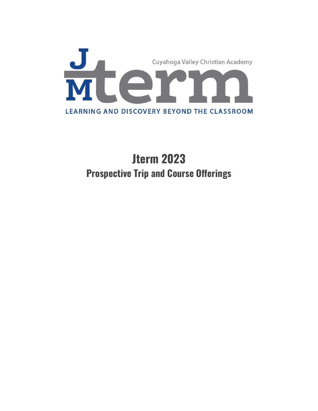

# **Jterm 2023 Prospective Trip and Course Offerings**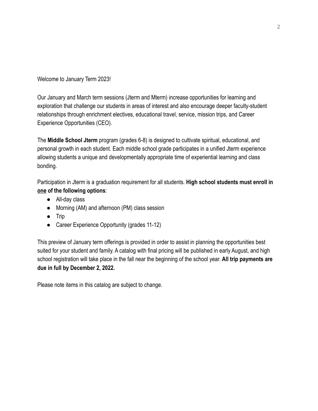Welcome to January Term 2023!

Our January and March term sessions (Jterm and Mterm) increase opportunities for learning and exploration that challenge our students in areas of interest and also encourage deeper faculty-student relationships through enrichment electives, educational travel, service, mission trips, and Career Experience Opportunities (CEO).

The **Middle School Jterm** program (grades 6-8) is designed to cultivate spiritual, educational, and personal growth in each student. Each middle school grade participates in a unified Jterm experience allowing students a unique and developmentally appropriate time of experiential learning and class bonding.

Participation in Jterm is a graduation requirement for all students. **High school students must enroll in one of the following options**:

- All-day class
- Morning (AM) and afternoon (PM) class session
- Trip
- Career Experience Opportunity (grades 11-12)

This preview of January term offerings is provided in order to assist in planning the opportunities best suited for your student and family. A catalog with final pricing will be published in early August, and high school registration will take place in the fall near the beginning of the school year. **All trip payments are due in full by December 2, 2022.**

Please note items in this catalog are subject to change.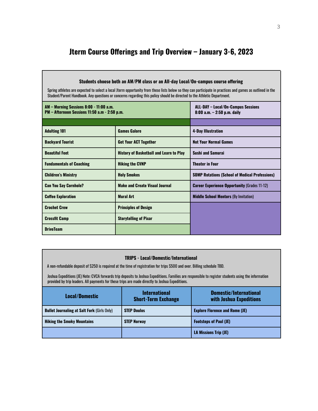# **Jterm Course Offerings and Trip Overview – January 3-6, 2023**

Г

| Students choose both an AM/PM class or an All-day Local/On-campus course offering<br>Spring athletes are expected to select a local Jterm opportunity from these lists below so they can participate in practices and games as outlined in the<br>Student/Parent Handbook. Any questions or concerns regarding this policy should be directed to the Athletic Department. |                                                |                                                                             |  |
|---------------------------------------------------------------------------------------------------------------------------------------------------------------------------------------------------------------------------------------------------------------------------------------------------------------------------------------------------------------------------|------------------------------------------------|-----------------------------------------------------------------------------|--|
| AM - Morning Sessions 8:00 - 11:00 a.m.<br>PM - Afternoon Sessions 11:50 a.m - 2:50 p.m.                                                                                                                                                                                                                                                                                  |                                                | <b>ALL-DAY - Local/On-Campus Sessions</b><br>$8:00$ a.m. $-2:50$ p.m. daily |  |
|                                                                                                                                                                                                                                                                                                                                                                           |                                                |                                                                             |  |
| <b>Adulting 101</b>                                                                                                                                                                                                                                                                                                                                                       | <b>Games Galore</b>                            | <b>4-Day Illustration</b>                                                   |  |
| <b>Backyard Tourist</b>                                                                                                                                                                                                                                                                                                                                                   | <b>Get Your ACT Together</b>                   | <b>Not Your Normal Games</b>                                                |  |
| <b>Beautiful Feet</b>                                                                                                                                                                                                                                                                                                                                                     | <b>History of Basketball and Learn to Play</b> | <b>Sushi and Samurai</b>                                                    |  |
| <b>Fundamentals of Coaching</b>                                                                                                                                                                                                                                                                                                                                           | <b>Hiking the CVNP</b>                         | <b>Theater in Four</b>                                                      |  |
| <b>Children's Ministry</b>                                                                                                                                                                                                                                                                                                                                                | <b>Holy Smokes</b>                             | <b>SOMP Rotations (School of Medical Professions)</b>                       |  |
| <b>Can You Say Cornhole?</b>                                                                                                                                                                                                                                                                                                                                              | <b>Make and Create Visual Journal</b>          | <b>Career Experience Opportunity (Grades 11-12)</b>                         |  |
| <b>Coffee Exploration</b>                                                                                                                                                                                                                                                                                                                                                 | <b>Mural Art</b>                               | <b>Middle School Mentors (By Invitation)</b>                                |  |
| <b>Crochet Crew</b>                                                                                                                                                                                                                                                                                                                                                       | <b>Principles of Design</b>                    |                                                                             |  |
| <b>Crossfit Camp</b>                                                                                                                                                                                                                                                                                                                                                      | <b>Storytelling of Pixar</b>                   |                                                                             |  |
| <b>DriveTeam</b>                                                                                                                                                                                                                                                                                                                                                          |                                                |                                                                             |  |

#### **TRIPS - Local/Domestic/International**

A non-refundable deposit of \$250 is required at the time of registration for trips \$500 and over. Billing schedule TBD.

Joshua Expeditions (JE) Note: CVCA forwards trip deposits to Joshua Expeditions. Families are responsible to register students using the information provided by trip leaders. All payments for these trips are made directly to Joshua Expeditions.

| <b>Local/Domestic</b>                              | <b>International</b><br><b>Short-Term Exchange</b> | Domestic/International<br>with Joshua Expeditions |
|----------------------------------------------------|----------------------------------------------------|---------------------------------------------------|
| <b>Bullet Journaling at Salt Fork (Girls Only)</b> | <b>STEP Doulos</b>                                 | <b>Explore Florence and Rome (JE)</b>             |
| <b>Hiking the Smoky Mountains</b>                  | <b>STEP Norway</b>                                 | <b>Footsteps of Paul (JE)</b>                     |
|                                                    |                                                    | <b>LA Missions Trip (JE)</b>                      |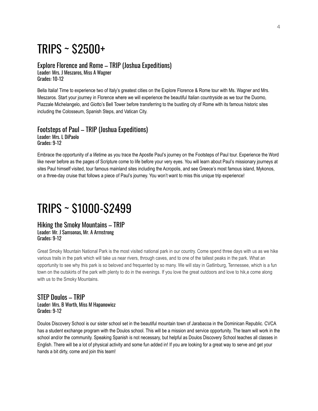# TRIPS ~ \$2500+

# Explore Florence and Rome – TRIP (Joshua Expeditions)

Leader: Mrs. J Meszaros, Miss A Wagner Grades: 10-12

Bella Italia! Time to experience two of Italy's greatest cities on the Explore Florence & Rome tour with Ms. Wagner and Mrs. Meszaros. Start your journey in Florence where we will experience the beautiful Italian countryside as we tour the Duomo, Piazzale Michelangelo, and Giotto's Bell Tower before transferring to the bustling city of Rome with its famous historic sites including the Colosseum, Spanish Steps, and Vatican City.

## Footsteps of Paul – TRIP (Joshua Expeditions) Leader: Mrs. L DiPaolo Grades: 9-12

Embrace the opportunity of a lifetime as you trace the Apostle Paul's journey on the Footsteps of Paul tour. Experience the Word like never before as the pages of Scripture come to life before your very eyes. You will learn about Paul's missionary journeys at sites Paul himself visited, tour famous mainland sites including the Acropolis, and see Greece's most famous island, Mykonos, on a three-day cruise that follows a piece of Paul's journey. You won't want to miss this unique trip experience!

# TRIPS ~ \$1000-\$2499

#### Hiking the Smoky Mountains – TRIP Leader: Mr. J Samsonas, Mr. A Armstrong Grades: 9-12

Great Smoky Mountain National Park is the most visited national park in our country. Come spend three days with us as we hike various trails in the park which will take us near rivers, through caves, and to one of the tallest peaks in the park. What an opportunity to see why this park is so beloved and frequented by so many. We will stay in Gatlinburg, Tennessee, which is a fun town on the outskirts of the park with plenty to do in the evenings. If you love the great outdoors and love to hik,e come along with us to the Smoky Mountains.

### STEP Doulos – TRIP Leader: Mrs. B Worth, Miss M Hapanowicz Grades: 9-12

Doulos Discovery School is our sister school set in the beautiful mountain town of Jarabacoa in the Dominican Republic. CVCA has a student exchange program with the Doulos school. This will be a mission and service opportunity. The team will work in the school and/or the community. Speaking Spanish is not necessary, but helpful as Doulos Discovery School teaches all classes in English. There will be a lot of physical activity and some fun added in! If you are looking for a great way to serve and get your hands a bit dirty, come and join this team!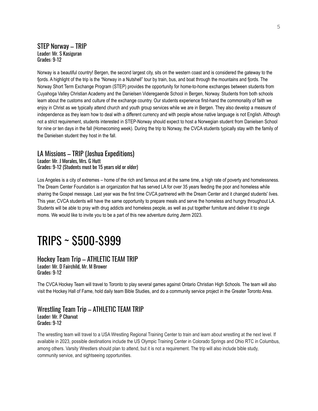### STEP Norway – TRIP Leader: Mr. S Kasiguran Grades: 9-12

Norway is a beautiful country! Bergen, the second largest city, sits on the western coast and is considered the gateway to the fjords. A highlight of the trip is the "Norway in a Nutshell" tour by train, bus, and boat through the mountains and fjords. The Norway Short Term Exchange Program (STEP) provides the opportunity for home-to-home exchanges between students from Cuyahoga Valley Christian Academy and the Danielsen Videregaende School in Bergen, Norway. Students from both schools learn about the customs and culture of the exchange country. Our students experience first-hand the commonality of faith we enjoy in Christ as we typically attend church and youth group services while we are in Bergen. They also develop a measure of independence as they learn how to deal with a different currency and with people whose native language is not English. Although not a strict requirement, students interested in STEP-Norway should expect to host a Norwegian student from Danielsen School for nine or ten days in the fall (Homecoming week). During the trip to Norway, the CVCA students typically stay with the family of the Danielsen student they host in the fall.

# LA Missions – TRIP (Joshua Expeditions)

Leader: Mr. J Morales, Mrs. G Hutt Grades: 9-12 (Students must be 15 years old or older)

Los Angeles is a city of extremes – home of the rich and famous and at the same time, a high rate of poverty and homelessness. The Dream Center Foundation is an organization that has served LA for over 35 years feeding the poor and homeless while sharing the Gospel message. Last year was the first time CVCA partnered with the Dream Center and it changed students' lives. This year, CVCA students will have the same opportunity to prepare meals and serve the homeless and hungry throughout LA. Students will be able to pray with drug addicts and homeless people, as well as put together furniture and deliver it to single moms. We would like to invite you to be a part of this new adventure during Jterm 2023.

# TRIPS ~ \$500-\$999

#### Hockey Team Trip – ATHLETIC TEAM TRIP Leader: Mr. D Fairchild, Mr. M Brower Grades: 9-12

The CVCA Hockey Team will travel to Toronto to play several games against Ontario Christian High Schools. The team will also visit the Hockey Hall of Fame, hold daily team Bible Studies, and do a community service project in the Greater Toronto Area.

#### Wrestling Team Trip – ATHLETIC TEAM TRIP Leader: Mr. P Charvat Grades: 9-12

The wrestling team will travel to a USA Wrestling Regional Training Center to train and learn about wrestling at the next level. If available in 2023, possible destinations include the US Olympic Training Center in Colorado Springs and Ohio RTC in Columbus, among others. Varsity Wrestlers should plan to attend, but it is not a requirement. The trip will also include bible study, community service, and sightseeing opportunities.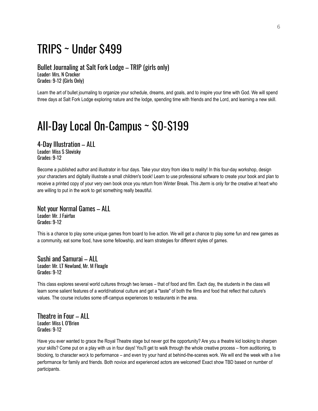# TRIPS ~ Under \$499

Bullet Journaling at Salt Fork Lodge – TRIP (girls only) Leader: Mrs. N Crocker Grades: 9-12 (Girls Only)

Learn the art of bullet journaling to organize your schedule, dreams, and goals, and to inspire your time with God. We will spend three days at Salt Fork Lodge exploring nature and the lodge, spending time with friends and the Lord, and learning a new skill.

# All-Day Local On-Campus ~ \$0-\$199

4-Day Illustration – ALL Leader: Miss S Slovisky Grades: 9-12

Become a published author and illustrator in four days. Take your story from idea to reality! In this four-day workshop, design your characters and digitally illustrate a small children's book! Learn to use professional software to create your book and plan to receive a printed copy of your very own book once you return from Winter Break. This Jterm is only for the creative at heart who are willing to put in the work to get something really beautiful.

Not your Normal Games – ALL Leader: Mr. J Fairfax Grades: 9-12

This is a chance to play some unique games from board to live action. We will get a chance to play some fun and new games as a community, eat some food, have some fellowship, and learn strategies for different styles of games.

Sushi and Samurai – ALL Leader: Mr. LT Newland, Mr. M Fleagle Grades: 9-12

This class explores several world cultures through two lenses – that of food and film. Each day, the students in the class will learn some salient features of a world/national culture and get a "taste" of both the films and food that reflect that culture's values. The course includes some off-campus experiences to restaurants in the area.

Theatre in Four – ALL Leader: Miss L O'Brien Grades: 9-12

Have you ever wanted to grace the Royal Theatre stage but never got the opportunity? Are you a theatre kid looking to sharpen your skills? Come put on a play with us in four days! You'll get to walk through the whole creative process – from auditioning, to blocking, to character wor,k to performance – and even try your hand at behind-the-scenes work. We will end the week with a live performance for family and friends. Both novice and experienced actors are welcomed! Exact show TBD based on number of participants.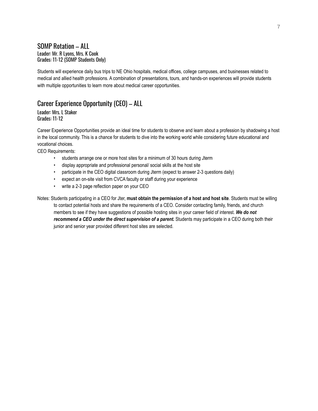## SOMP Rotation – ALL Leader: Mr. R Lyons, Mrs. K Cook Grades: 11-12 (SOMP Students Only)

Students will experience daily bus trips to NE Ohio hospitals, medical offices, college campuses, and businesses related to medical and allied health professions. A combination of presentations, tours, and hands-on experiences will provide students with multiple opportunities to learn more about medical career opportunities.

# Career Experience Opportunity (CEO) – ALL

#### Leader: Mrs. L Staker Grades: 11-12

Career Experience Opportunities provide an ideal time for students to observe and learn about a profession by shadowing a host in the local community. This is a chance for students to dive into the working world while considering future educational and vocational choices.

CEO Requirements:

- students arrange one or more host sites for a minimum of 30 hours during Jterm
- display appropriate and professional personal/ social skills at the host site
- participate in the CEO digital classroom during Jterm (expect to answer 2-3 questions daily)
- expect an on-site visit from CVCA faculty or staff during your experience
- write a 2-3 page reflection paper on your CEO

Notes: Students participating in a CEO for Jter, **must obtain the permission of a host and host site**. Students must be willing to contact potential hosts and share the requirements of a CEO. Consider contacting family, friends, and church members to see if they have suggestions of possible hosting sites in your career field of interest. *We do not recommend a CEO under the direct supervision of a parent.* Students may participate in a CEO during both their junior and senior year provided different host sites are selected.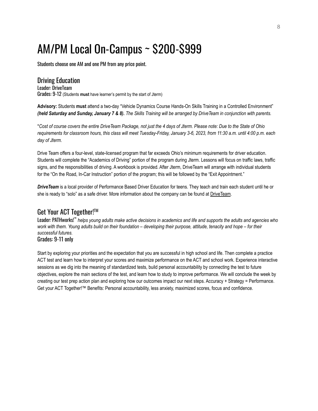# AM/PM Local On-Campus ~ \$200-\$999

Students choose one AM and one PM from any price point.

Driving Education Leader: DriveTeam Grades: 9-12 (Students **must** have learner's permit by the start of Jterm)

**Advisory:** Students **must** attend a two-day "Vehicle Dynamics Course Hands-On Skills Training in a Controlled Environment" (held Saturday and Sunday, January 7 & 8). The Skills Training will be arranged by Drive Team in conjunction with parents.

\*Cost of course covers the entire DriveTeam Package, not just the 4 days of Jterm. Please note: Due to the State of Ohio requirements for classroom hours, this class will meet Tuesday-Friday, January 3-6, 2023, from 11:30 a.m. until 4:00 p.m. each *day of Jterm.*

Drive Team offers a four-level, state-licensed program that far exceeds Ohio's minimum requirements for driver education. Students will complete the "Academics of Driving" portion of the program during Jterm. Lessons will focus on traffic laws, traffic signs, and the responsibilities of driving. A workbook is provided. After Jterm, DriveTeam will arrange with individual students for the "On the Road, In-Car Instruction" portion of the program; this will be followed by the "Exit Appointment."

*DriveTeam* is a local provider of Performance Based Driver Education for teens. They teach and train each student until he or she is ready to "solo" as a safe driver. More information about the company can be found at [DriveTeam](http://driveteam.com/).

# Get Your ACT Together!™

Leader: PATHworks!™ helps young adults make active decisions in academics and life and supports the adults and agencies who work with them. Young adults build on their foundation – developing their purpose, attitude, tenacity and hope – for their *successful futures.* Grades: 9-11 only

Start by exploring your priorities and the expectation that you are successful in high school and life. Then complete a practice ACT test and learn how to interpret your scores and maximize performance on the ACT and school work. Experience interactive sessions as we dig into the meaning of standardized tests, build personal accountability by connecting the test to future objectives, explore the main sections of the test, and learn how to study to improve performance. We will conclude the week by creating our test prep action plan and exploring how our outcomes impact our next steps. Accuracy + Strategy = Performance. Get your ACT Together!™ Benefits: Personal accountability, less anxiety, maximized scores, focus and confidence.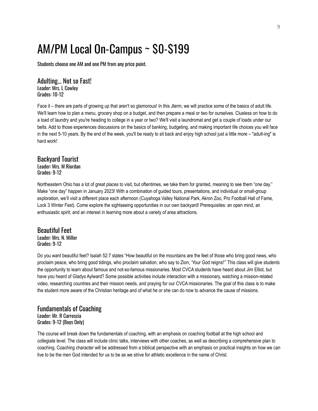# AM/PM Local On-Campus ~ \$0-\$199

Students choose one AM and one PM from any price point.

Adulting… Not so Fast! Leader: Mrs. L Cowley Grades: 10-12

Face it – there are parts of growing up that aren't so glamorous! In this Jterm, we will practice some of the basics of adult life. We'll learn how to plan a menu, grocery shop on a budget, and then prepare a meal or two for ourselves. Clueless on how to do a load of laundry and you're heading to college in a year or two? We'll visit a laundromat and get a couple of loads under our belts. Add to those experiences discussions on the basics of banking, budgeting, and making important life choices you will face in the next 5-10 years. By the end of the week, you'll be ready to sit back and enjoy high school just a little more – "adult-ing" is hard work!

# Backyard Tourist Leader: Mrs. M Riordan

Grades: 9-12

Northeastern Ohio has a lot of great places to visit, but oftentimes, we take them for granted, meaning to see them "one day." Make "one day" happen in January 2023! With a combination of guided tours, presentations, and individual or small-group exploration, we'll visit a different place each afternoon (Cuyahoga Valley National Park, Akron Zoo, Pro Football Hall of Fame, Lock 3 Winter Fest). Come explore the sightseeing opportunities in our own backyard! Prerequisites: an open mind, an enthusiastic spirit, and an interest in learning more about a variety of area attractions.

## Beautiful Feet Leader: Mrs. N. Miller Grades: 9-12

Do you want beautiful feet? Isaiah 52:7 states "How beautiful on the mountains are the feet of those who bring good news, who proclaim peace, who bring good tidings, who proclaim salvation, who say to Zion, 'Your God reigns!'" This class will give students the opportunity to learn about famous and not-so-famous missionaries. Most CVCA students have heard about Jim Elliot, but have you heard of Gladys Aylward? Some possible activities include interaction with a missionary, watching a mission-related video, researching countries and their mission needs, and praying for our CVCA missionaries. The goal of this class is to make the student more aware of the Christian heritage and of what he or she can do now to advance the cause of missions.

### Fundamentals of Coaching Leader: Mr. R Carroscia Grades: 9-12 (Boys Only)

The course will break down the fundamentals of coaching, with an emphasis on coaching football at the high school and collegiate level. The class will include clinic talks, interviews with other coaches, as well as describing a comprehensive plan to coaching. Coaching character will be addressed from a biblical perspective with an emphasis on practical insights on how we can live to be the men God intended for us to be as we strive for athletic excellence in the name of Christ.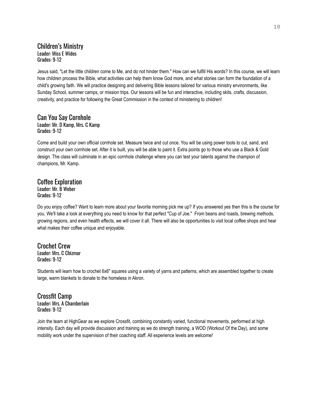# Children's Ministry Leader: Miss E Wides Grades: 9-12

Jesus said, "Let the little children come to Me, and do not hinder them." How can we fulfill His words? In this course, we will learn how children process the Bible, what activities can help them know God more, and what stories can form the foundation of a child's growing faith. We will practice designing and delivering Bible lessons tailored for various ministry environments, like Sunday School, summer camps, or mission trips. Our lessons will be fun and interactive, including skits, crafts, discussion, creativity, and practice for following the Great Commission in the context of ministering to children!

#### Can You Say Cornhole Leader: Mr. D Kamp, Mrs. C Kamp Grades: 9-12

Come and build your own official cornhole set. Measure twice and cut once. You will be using power tools to cut, sand, and construct your own cornhole set. After it is built, you will be able to paint it. Extra points go to those who use a Black & Gold design. The class will culminate in an epic cornhole challenge where you can test your talents against the champion of champions, Mr. Kamp.

## Coffee Exploration Leader: Mr. B Weber Grades: 9-12

Do you enjoy coffee? Want to learn more about your favorite morning pick me up? If you answered yes then this is the course for you. We'll take a look at everything you need to know for that perfect "Cup of Joe." From beans and roasts, brewing methods, growing regions, and even health effects, we will cover it all. There will also be opportunities to visit local coffee shops and hear what makes their coffee unique and enjoyable.

#### Crochet Crew Leader: Mrs. C Chizmar Grades: 9-12

Students will learn how to crochet 6x6" squares using a variety of yarns and patterns, which are assembled together to create large, warm blankets to donate to the homeless in Akron.

Crossfit Camp Leader: Mrs. A Chamberlain Grades: 9-12

Join the team at HighGear as we explore Crossfit, combining constantly varied, functional movements, performed at high intensity. Each day will provide discussion and training as we do strength training, a WOD (Workout Of the Day), and some mobility work under the supervision of their coaching staff. All experience levels are welcome!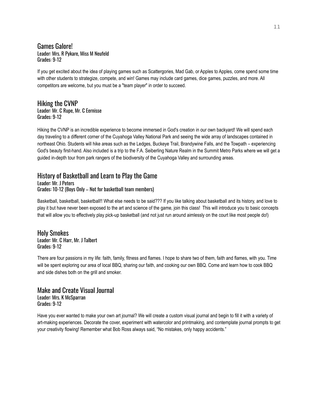Games Galore! Leader: Mrs. R Pykare, Miss M Neufeld Grades: 9-12

If you get excited about the idea of playing games such as Scattergories, Mad Gab, or Apples to Apples, come spend some time with other students to strategize, compete, and win! Games may include card games, dice games, puzzles, and more. All competitors are welcome, but you must be a "team player" in order to succeed.

### Hiking the CVNP Leader: Mr. C Rupe, Mr. C Eernisse Grades: 9-12

Hiking the CVNP is an incredible experience to become immersed in God's creation in our own backyard! We will spend each day traveling to a different corner of the Cuyahoga Valley National Park and seeing the wide array of landscapes contained in northeast Ohio. Students will hike areas such as the Ledges, Buckeye Trail, Brandywine Falls, and the Towpath – experiencing God's beauty first-hand. Also included is a trip to the F.A. Seiberling Nature Realm in the Summit Metro Parks where we will get a guided in-depth tour from park rangers of the biodiversity of the Cuyahoga Valley and surrounding areas.

# History of Basketball and Learn to Play the Game

Leader: Mr. J Peters Grades: 10-12 (Boys Only – Not for basketball team members)

Basketball, basketball, basketball!! What else needs to be said??? If you like talking about basketball and its history, and love to play it but have never been exposed to the art and science of the game, join this class! This will introduce you to basic concepts that will allow you to effectively play pick-up basketball (and not just run around aimlessly on the court like most people do!)

Holy Smokes Leader: Mr. C Harr, Mr. J Talbert Grades: 9-12

There are four passions in my life: faith, family, fitness and flames. I hope to share two of them, faith and flames, with you. Time will be spent exploring our area of local BBQ, sharing our faith, and cooking our own BBQ. Come and learn how to cook BBQ and side dishes both on the grill and smoker.

### Make and Create Visual Journal Leader: Mrs. K McSparran Grades: 9-12

Have you ever wanted to make your own art journal? We will create a custom visual journal and begin to fill it with a variety of art-making experiences. Decorate the cover, experiment with watercolor and printmaking, and contemplate journal prompts to get your creativity flowing! Remember what Bob Ross always said, "No mistakes, only happy accidents."